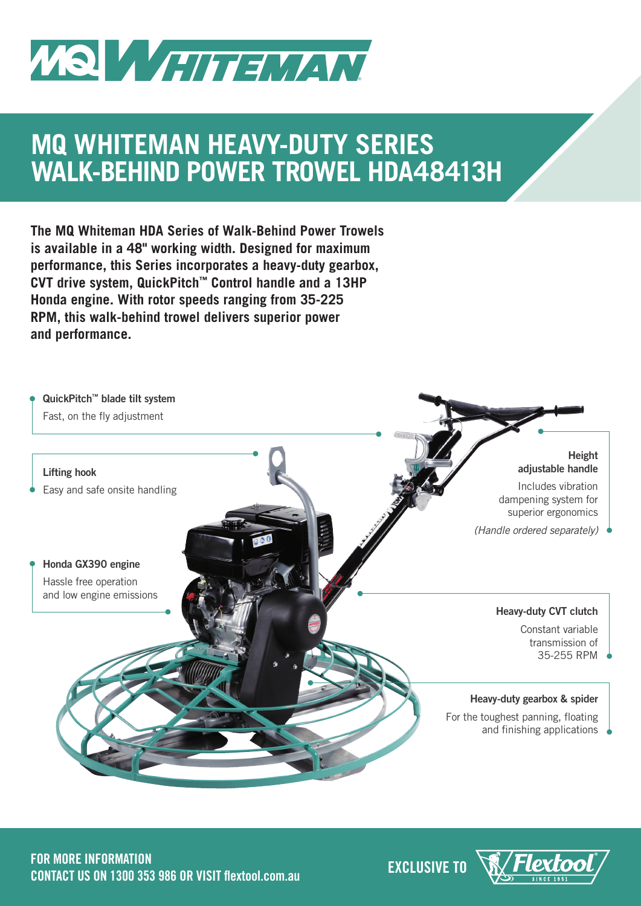

## **MQ WHITEMAN HEAVY-DUTY SERIES WALK-BEHIND POWER TROWEL HDA48413H**

**The MQ Whiteman HDA Series of Walk-Behind Power Trowels is available in a 48" working width. Designed for maximum performance, this Series incorporates a heavy-duty gearbox, CVT drive system, QuickPitch™ Control handle and a 13HP Honda engine. With rotor speeds ranging from 35-225 RPM, this walk-behind trowel delivers superior power and performance.**





·lextor